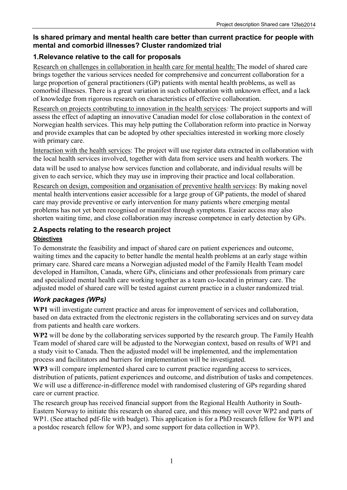### **Is shared primary and mental health care better than current practice for people with mental and comorbid illnesses? Cluster randomized trial**

### **1.Relevance relative to the call for proposals**

Research on challenges in collaboration in health care for mental health**:** The model of shared care brings together the various services needed for comprehensive and concurrent collaboration for a large proportion of general practitioners (GP) patients with mental health problems, as well as comorbid illnesses. There is a great variation in such collaboration with unknown effect, and a lack of knowledge from rigorous research on characteristics of effective collaboration.

Research on projects contributing to innovation in the health services*:* The project supports and will assess the effect of adapting an innovative Canadian model for close collaboration in the context of Norwegian health services. This may help putting the Collaboration reform into practice in Norway and provide examples that can be adopted by other specialties interested in working more closely with primary care.

Interaction with the health services: The project will use register data extracted in collaboration with the local health services involved, together with data from service users and health workers. The data will be used to analyse how services function and collaborate, and individual results will be given to each service, which they may use in improving their practice and local collaboration.

Research on design, composition and organisation of preventive health services: By making novel mental health interventions easier accessible for a large group of GP patients, the model of shared care may provide preventive or early intervention for many patients where emerging mental problems has not yet been recognised or manifest through symptoms. Easier access may also shorten waiting time, and close collaboration may increase competence in early detection by GPs.

### **2.Aspects relating to the research project**

#### **Objectives**

To demonstrate the feasibility and impact of shared care on patient experiences and outcome, waiting times and the capacity to better handle the mental health problems at an early stage within primary care. Shared care means a Norwegian adjusted model of the Family Health Team model developed in Hamilton, Canada, where GPs, clinicians and other professionals from primary care and specialized mental health care working together as a team co-located in primary care. The adjusted model of shared care will be tested against current practice in a cluster randomized trial.

### *Work packages (WPs)*

**WP1** will investigate current practice and areas for improvement of services and collaboration, based on data extracted from the electronic registers in the collaborating services and on survey data from patients and health care workers.

**WP2** will be done by the collaborating services supported by the research group. The Family Health Team model of shared care will be adjusted to the Norwegian context, based on results of WP1 and a study visit to Canada. Then the adjusted model will be implemented, and the implementation process and facilitators and barriers for implementation will be investigated.

**WP3** will compare implemented shared care to current practice regarding access to services, distribution of patients, patient experiences and outcome, and distribution of tasks and competences. We will use a difference-in-difference model with randomised clustering of GPs regarding shared care or current practice.

The research group has received financial support from the Regional Health Authority in South-Eastern Norway to initiate this research on shared care, and this money will cover WP2 and parts of WP1. (See attached pdf-file with budget). This application is for a PhD research fellow for WP1 and a postdoc research fellow for WP3, and some support for data collection in WP3.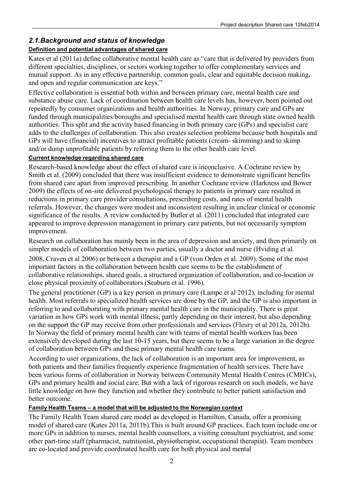# *2.1.Background and status of knowledge*

# **Definition and potential advantages of shared care**

Kates et al (2011a) define collaborative mental health care as "care that is delivered by providers from different specialties, disciplines, or sectors working together to offer complementary services and mutual support. As in any effective partnership, common goals, clear and equitable decision making, and open and regular communication are keys."

Effective collaboration is essential both within and between primary care, mental health care and substance abuse care. Lack of coordination between health care levels has, however, been pointed out repeatedly by consumer organizations and health authorities. In Norway, primary care and GPs are funded through municipalities/boroughs and specialised mental health care through state owned health authorities. This split and the activity based financing in both primary care (GPs) and specialist care adds to the challenges of collaboration. This also creates selection problems because both hospitals and GPs will have (financial) incentives to attract profitable patients (cream- skimming) and to skimp and/or dump unprofitable patients by referring them to the other health care level.

### **Current knowledge regarding shared care**

Research-based knowledge about the effect of shared care is inconclusive. A Cochrane review by Smith et al. (2009) concluded that there was insufficient evidence to demonstrate significant benefits from shared care apart from improved prescribing. In another Cochrane review (Harkness and Bower 2009) the effects of on-site delivered psychological therapy to patients in primary care resulted in reductions in primary care provider consultations, prescribing costs, and rates of mental health referrals. However, the changes were modest and inconsistent resulting in unclear clinical or economic significance of the results. A review conducted by Butler et al. (2011) concluded that integrated care appeared to improve depression management in primary care patients, but not necessarily symptom improvement.

Research on collaboration has mainly been in the area of depression and anxiety, and then primarily on simpler models of collaboration between two parties, usually a doctor and nurse (Hviding et al. 2008, Craven et al 2006) or between a therapist and a GP (von Orden et al. 2009). Some of the most important factors in the collaboration between health care seems to be the establishment of collaborative relationships, shared goals, a structured organization of collaboration, and co-location or close physical proximity of collaborators (Seaburn et al. 1996).

The general practitioner (GP) is a key person in primary care (Lampe et al 2012), including for mental health. Most referrals to specialized health services are done by the GP, and the GP is also important in referring to and collaborating with primary mental health care in the municipality. There is great variation in how GPs work with mental illness, partly depending on their interest, but also depending on the support the GP may receive from other professionals and services (Fleury et al 2012a, 2012b). In Norway the field of primary mental health care with teams of mental health workers has been extensively developed during the last 10-15 years, but there seems to be a large variation in the degree of collaboration between GPs and these primary mental health care teams.

According to user organizations, the lack of collaboration is an important area for improvement, as both patients and their families frequently experience fragmentation of health services. There have been various forms of collaboration in Norway between Community Mental Health Centres (CMHCs), GPs and primary health and social care. But with a lack of rigorous research on such models, we have little knowledge on how they function and whether they contribute to better patient satisfaction and better outcome.

# **Family Health Teams – a model that will be adjusted to the Norwegian context**

The Family Health Team shared care model as developed in Hamilton, Canada, offer a promising model of shared care (Kates 2011a, 2011b).This is built around GP practices. Each team include one or more GPs in addition to nurses, mental health counsellors, a visiting consultant psychiatrist, and some other part-time staff (pharmacist, nutritionist, physiotherapist, occupational therapist). Team members are co-located and provide coordinated health care for both physical and mental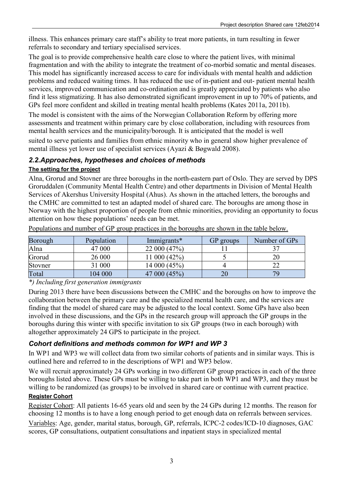illness. This enhances primary care staff's ability to treat more patients, in turn resulting in fewer referrals to secondary and tertiary specialised services.

The goal is to provide comprehensive health care close to where the patient lives, with minimal fragmentation and with the ability to integrate the treatment of co-morbid somatic and mental diseases. This model has significantly increased access to care for individuals with mental health and addiction problems and reduced waiting times. It has reduced the use of in-patient and out- patient mental health services, improved communication and co-ordination and is greatly appreciated by patients who also find it less stigmatizing. It has also demonstrated significant improvement in up to 70% of patients, and GPs feel more confident and skilled in treating mental health problems (Kates 2011a, 2011b).

The model is consistent with the aims of the Norwegian Collaboration Reform by offering more assessments and treatment within primary care by close collaboration, including with resources from mental health services and the municipality/borough. It is anticipated that the model is well

suited to serve patients and families from ethnic minority who in general show higher prevalence of mental illness yet lower use of specialist services (Ayazi & Bøgwald 2008).

# *2.2.Approaches, hypotheses and choices of methods*

### **The setting for the project**

Alna, Grorud and Stovner are three boroughs in the north-eastern part of Oslo. They are served by DPS Groruddalen (Community Mental Health Centre) and other departments in Division of Mental Health Services of Akershus University Hospital (Ahus). As shown in the attached letters, the boroughs and the CMHC are committed to test an adapted model of shared care. The boroughs are among those in Norway with the highest proportion of people from ethnic minorities, providing an opportunity to focus attention on how these populations' needs can be met.

| Borough | Population | Immigrants*  | GP groups | Number of GPs |
|---------|------------|--------------|-----------|---------------|
| Alna    | 47 000     | 22 000 (47%) |           |               |
| Grorud  | 26 000     | 11 000 (42%) |           |               |
| Stovner | 31 000     | 14 000 (45%) |           |               |
| Total   | 104 000    | 47 000 (45%) | ZU        |               |

Populations and number of GP group practices in the boroughs are shown in the table below.

*\*) Including first generation immigrants* 

During 2013 there have been discussions between the CMHC and the boroughs on how to improve the collaboration between the primary care and the specialized mental health care, and the services are finding that the model of shared care may be adjusted to the local context. Some GPs have also been involved in these discussions, and the GPs in the research group will approach the GP groups in the boroughs during this winter with specific invitation to six GP groups (two in each borough) with altogether approximately 24 GPS to participate in the project.

# *Cohort definitions and methods common for WP1 and WP 3*

In WP1 and WP3 we will collect data from two similar cohorts of patients and in similar ways. This is outlined here and referred to in the descriptions of WP1 and WP3 below.

We will recruit approximately 24 GPs working in two different GP group practices in each of the three boroughs listed above. These GPs must be willing to take part in both WP1 and WP3, and they must be willing to be randomized (as groups) to be involved in shared care or continue with current practice.

### **Register Cohort**

Register Cohort: All patients 16-65 years old and seen by the 24 GPs during 12 months. The reason for choosing 12 months is to have a long enough period to get enough data on referrals between services. Variables: Age, gender, marital status, borough, GP, referrals, ICPC-2 codes/ICD-10 diagnoses, GAC scores, GP consultations, outpatient consultations and inpatient stays in specialized mental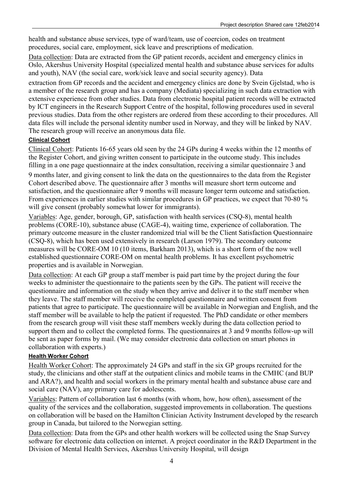health and substance abuse services, type of ward/team, use of coercion, codes on treatment procedures, social care, employment, sick leave and prescriptions of medication.

Data collection: Data are extracted from the GP patient records, accident and emergency clinics in Oslo, Akershus University Hospital (specialized mental health and substance abuse services for adults and youth), NAV (the social care, work/sick leave and social security agency). Data

extraction from GP records and the accident and emergency clinics are done by Svein Gjelstad, who is a member of the research group and has a company (Mediata) specializing in such data extraction with extensive experience from other studies. Data from electronic hospital patient records will be extracted by ICT engineers in the Research Support Centre of the hospital, following procedures used in several previous studies. Data from the other registers are ordered from these according to their procedures. All data files will include the personal identity number used in Norway, and they will be linked by NAV. The research group will receive an anonymous data file.

### **Clinical Cohort**

Clinical Cohort: Patients 16-65 years old seen by the 24 GPs during 4 weeks within the 12 months of the Register Cohort, and giving written consent to participate in the outcome study. This includes filling in a one page questionnaire at the index consultation, receiving a similar questionnaire 3 and 9 months later, and giving consent to link the data on the questionnaires to the data from the Register Cohort described above. The questionnaire after 3 months will measure short term outcome and satisfaction, and the questionnaire after 9 months will measure longer term outcome and satisfaction. From experiences in earlier studies with similar procedures in GP practices, we expect that 70-80 %

will give consent (probably somewhat lower for immigrants).

Variables: Age, gender, borough, GP, satisfaction with health services (CSQ-8), mental health problems (CORE-10), substance abuse (CAGE-4), waiting time, experience of collaboration. The primary outcome measure in the cluster randomized trial will be the Client Satisfaction Questionnaire (CSQ-8), which has been used extensively in research (Larson 1979). The secondary outcome measures will be CORE-OM 10 (10 items, Barkham 2013), which is a short form of the now well established questionnaire CORE-OM on mental health problems. It has excellent psychometric properties and is available in Norwegian.

Data collection: At each GP group a staff member is paid part time by the project during the four weeks to administer the questionnaire to the patients seen by the GPs. The patient will receive the questionnaire and information on the study when they arrive and deliver it to the staff member when they leave. The staff member will receive the completed questionnaire and written consent from patients that agree to participate. The questionnaire will be available in Norwegian and English, and the staff member will be available to help the patient if requested. The PhD candidate or other members from the research group will visit these staff members weekly during the data collection period to support them and to collect the completed forms. The questionnaires at 3 and 9 months follow-up will be sent as paper forms by mail. (We may consider electronic data collection on smart phones in collaboration with experts.)

### **Health Worker Cohort**

Health Worker Cohort: The approximately 24 GPs and staff in the six GP groups recruited for the study, the clinicians and other staff at the outpatient clinics and mobile teams in the CMHC (and BUP and ARA?), and health and social workers in the primary mental health and substance abuse care and social care (NAV), any primary care for adolescents.

Variables: Pattern of collaboration last 6 months (with whom, how, how often), assessment of the quality of the services and the collaboration, suggested improvements in collaboration. The questions on collaboration will be based on the Hamilton Clinician Activity Instrument developed by the research group in Canada, but tailored to the Norwegian setting.

Data collection: Data from the GPs and other health workers will be collected using the Snap Survey software for electronic data collection on internet. A project coordinator in the R&D Department in the Division of Mental Health Services, Akershus University Hospital, will design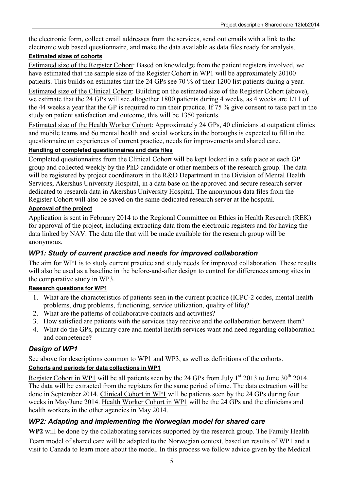the electronic form, collect email addresses from the services, send out emails with a link to the electronic web based questionnaire, and make the data available as data files ready for analysis.

#### **Estimated sizes of cohorts**

Estimated size of the Register Cohort: Based on knowledge from the patient registers involved, we have estimated that the sample size of the Register Cohort in WP1 will be approximately 20100 patients. This builds on estimates that the 24 GPs see 70 % of their 1200 list patients during a year.

Estimated size of the Clinical Cohort: Building on the estimated size of the Register Cohort (above), we estimate that the 24 GPs will see altogether 1800 patients during 4 weeks, as 4 weeks are 1/11 of the 44 weeks a year that the GP is required to run their practice. If 75 % give consent to take part in the study on patient satisfaction and outcome, this will be 1350 patients.

Estimated size of the Health Worker Cohort: Approximately 24 GPs, 40 clinicians at outpatient clinics and mobile teams and 6o mental health and social workers in the boroughs is expected to fill in the questionnaire on experiences of current practice, needs for improvements and shared care.

#### **Handling of completed questionnaires and data files**

Completed questionnaires from the Clinical Cohort will be kept locked in a safe place at each GP group and collected weekly by the PhD candidate or other members of the research group. The data will be registered by project coordinators in the R&D Department in the Division of Mental Health Services, Akershus University Hospital, in a data base on the approved and secure research server dedicated to research data in Akershus University Hospital. The anonymous data files from the Register Cohort will also be saved on the same dedicated research server at the hospital.

### **Approval of the project**

Application is sent in February 2014 to the Regional Committee on Ethics in Health Research (REK) for approval of the project, including extracting data from the electronic registers and for having the data linked by NAV. The data file that will be made available for the research group will be anonymous.

# *WP1: Study of current practice and needs for improved collaboration*

The aim for WP1 is to study current practice and study needs for improved collaboration. These results will also be used as a baseline in the before-and-after design to control for differences among sites in the comparative study in WP3.

### **Research questions for WP1**

- 1. What are the characteristics of patients seen in the current practice (ICPC-2 codes, mental health problems, drug problems, functioning, service utilization, quality of life)?
- 2. What are the patterns of collaborative contacts and activities?
- 3. How satisfied are patients with the services they receive and the collaboration between them?
- 4. What do the GPs, primary care and mental health services want and need regarding collaboration and competence?

# *Design of WP1*

See above for descriptions common to WP1 and WP3, as well as definitions of the cohorts.

### **Cohorts and periods for data collections in WP1**

Register Cohort in WP1 will be all patients seen by the 24 GPs from July  $1^{st}$  2013 to June 30<sup>th</sup> 2014. The data will be extracted from the registers for the same period of time. The data extraction will be done in September 2014. Clinical Cohort in WP1 will be patients seen by the 24 GPs during four weeks in May/June 2014. Health Worker Cohort in WP1 will be the 24 GPs and the clinicians and health workers in the other agencies in May 2014.

# *WP2: Adapting and implementing the Norwegian model for shared care*

**WP2** will be done by the collaborating services supported by the research group. The Family Health Team model of shared care will be adapted to the Norwegian context, based on results of WP1 and a visit to Canada to learn more about the model. In this process we follow advice given by the Medical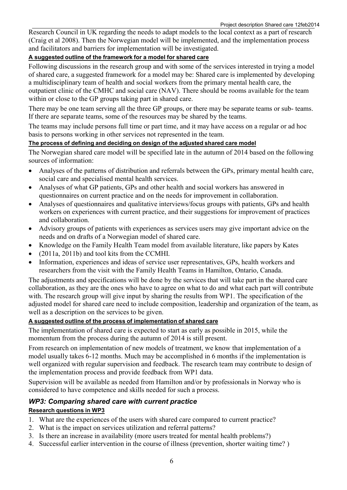Research Council in UK regarding the needs to adapt models to the local context as a part of research (Craig et al 2008). Then the Norwegian model will be implemented, and the implementation process and facilitators and barriers for implementation will be investigated.

#### **A suggested outline of the framework for a model for shared care**

Following discussions in the research group and with some of the services interested in trying a model of shared care, a suggested framework for a model may be: Shared care is implemented by developing a multidisciplinary team of health and social workers from the primary mental health care, the outpatient clinic of the CMHC and social care (NAV). There should be rooms available for the team within or close to the GP groups taking part in shared care.

There may be one team serving all the three GP groups, or there may be separate teams or sub- teams. If there are separate teams, some of the resources may be shared by the teams.

The teams may include persons full time or part time, and it may have access on a regular or ad hoc basis to persons working in other services not represented in the team.

#### **The process of defining and deciding on design of the adjusted shared care model**

The Norwegian shared care model will be specified late in the autumn of 2014 based on the following sources of information:

- Analyses of the patterns of distribution and referrals between the GPs, primary mental health care, social care and specialised mental health services.
- Analyses of what GP patients, GPs and other health and social workers has answered in questionnaires on current practice and on the needs for improvement in collaboration.
- Analyses of questionnaires and qualitative interviews/focus groups with patients, GPs and health workers on experiences with current practice, and their suggestions for improvement of practices and collaboration.
- Advisory groups of patients with experiences as services users may give important advice on the needs and on drafts of a Norwegian model of shared care.
- Knowledge on the Family Health Team model from available literature, like papers by Kates
- (2011a, 2011b) and tool kits from the CCMHI.
- Information, experiences and ideas of service user representatives, GPs, health workers and researchers from the visit with the Family Health Teams in Hamilton, Ontario, Canada.

The adjustments and specifications will be done by the services that will take part in the shared care collaboration, as they are the ones who have to agree on what to do and what each part will contribute with. The research group will give input by sharing the results from WP1. The specification of the adjusted model for shared care need to include composition, leadership and organization of the team, as well as a description on the services to be given.

#### **A suggested outline of the process of implementation of shared care**

The implementation of shared care is expected to start as early as possible in 2015, while the momentum from the process during the autumn of 2014 is still present.

From research on implementation of new models of treatment, we know that implementation of a model usually takes 6-12 months. Much may be accomplished in 6 months if the implementation is well organized with regular supervision and feedback. The research team may contribute to design of the implementation process and provide feedback from WP1 data.

Supervision will be available as needed from Hamilton and/or by professionals in Norway who is considered to have competence and skills needed for such a process.

### *WP3: Comparing shared care with current practice*

#### **Research questions in WP3**

- 1. What are the experiences of the users with shared care compared to current practice?
- 2. What is the impact on services utilization and referral patterns?
- 3. Is there an increase in availability (more users treated for mental health problems?)
- 4. Successful earlier intervention in the course of illness (prevention, shorter waiting time? )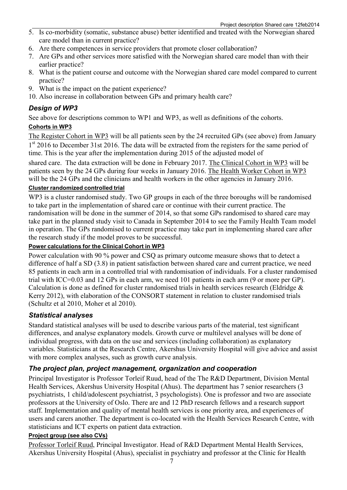- 5. Is co-morbidity (somatic, substance abuse) better identified and treated with the Norwegian shared care model than in current practice?
- 6. Are there competences in service providers that promote closer collaboration?
- 7. Are GPs and other services more satisfied with the Norwegian shared care model than with their earlier practice?
- 8. What is the patient course and outcome with the Norwegian shared care model compared to current practice?
- 9. What is the impact on the patient experience?
- 10. Also increase in collaboration between GPs and primary health care?

### *Design of WP3*

See above for descriptions common to WP1 and WP3, as well as definitions of the cohorts.

### **Cohorts in WP3**

The Register Cohort in WP3 will be all patients seen by the 24 recruited GPs (see above) from January 1st 2016 to December 31st 2016. The data will be extracted from the registers for the same period of time. This is the year after the implementation during 2015 of the adjusted model of

shared care. The data extraction will be done in February 2017. The Clinical Cohort in WP3 will be patients seen by the 24 GPs during four weeks in January 2016. The Health Worker Cohort in WP3 will be the 24 GPs and the clinicians and health workers in the other agencies in January 2016.

### **Cluster randomized controlled trial**

WP3 is a cluster randomised study. Two GP groups in each of the three boroughs will be randomised to take part in the implementation of shared care or continue with their current practice. The randomisation will be done in the summer of 2014, so that some GPs randomised to shared care may take part in the planned study visit to Canada in September 2014 to see the Family Health Team model in operation. The GPs randomised to current practice may take part in implementing shared care after the research study if the model proves to be successful.

### **Power calculations for the Clinical Cohort in WP3**

Power calculation with 90 % power and CSQ as primary outcome measure shows that to detect a difference of half a SD (3.8) in patient satisfaction between shared care and current practice, we need 85 patients in each arm in a controlled trial with randomisation of individuals. For a cluster randomised trial with ICC=0.03 and 12 GPs in each arm, we need 101 patients in each arm (9 or more per GP). Calculation is done as defined for cluster randomised trials in health services research (Eldridge & Kerry 2012), with elaboration of the CONSORT statement in relation to cluster randomised trials (Schultz et al 2010, Moher et al 2010).

### *Statistical analyses*

Standard statistical analyses will be used to describe various parts of the material, test significant differences, and analyse explanatory models. Growth curve or multilevel analyses will be done of individual progress, with data on the use and services (including collaboration) as explanatory variables. Statisticians at the Research Centre, Akershus University Hospital will give advice and assist with more complex analyses, such as growth curve analysis.

# *The project plan, project management, organization and cooperation*

Principal Investigator is Professor Torleif Ruud, head of the The R&D Department, Division Mental Health Services, Akershus University Hospital (Ahus). The department has 7 senior researchers (3 psychiatrists, 1 child/adolescent psychiatrist, 3 psychologists). One is professor and two are associate professors at the University of Oslo. There are and 12 PhD research fellows and a research support staff. Implementation and quality of mental health services is one priority area, and experiences of users and carers another. The department is co-located with the Health Services Research Centre, with statisticians and ICT experts on patient data extraction.

### **Project group (see also CVs)**

Professor Torleif Ruud, Principal Investigator. Head of R&D Department Mental Health Services, Akershus University Hospital (Ahus), specialist in psychiatry and professor at the Clinic for Health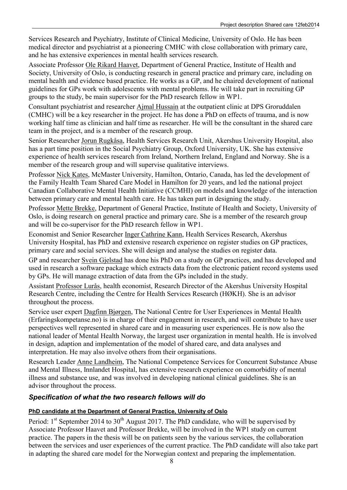Services Research and Psychiatry, Institute of Clinical Medicine, University of Oslo. He has been medical director and psychiatrist at a pioneering CMHC with close collaboration with primary care, and he has extensive experiences in mental health services research.

Associate Professor Ole Rikard Haavet, Department of General Practice, Institute of Health and Society, University of Oslo, is conducting research in general practice and primary care, including on mental health and evidence based practice. He works as a GP, and he chaired development of national guidelines for GPs work with adolescents with mental problems. He will take part in recruiting GP groups to the study, be main supervisor for the PhD research fellow in WP1.

Consultant psychiatrist and researcher Ajmal Hussain at the outpatient clinic at DPS Groruddalen (CMHC) will be a key researcher in the project. He has done a PhD on effects of trauma, and is now working half time as clinician and half time as researcher. He will be the consultant in the shared care team in the project, and is a member of the research group.

Senior Researcher Jorun Rugkåsa, Health Services Research Unit, Akershus University Hospital, also has a part time position in the Social Psychiatry Group, Oxford University, UK. She has extensive experience of health services research from Ireland, Northern Ireland, England and Norway. She is a member of the research group and will supervise qualitative interviews.

Professor Nick Kates, McMaster University, Hamilton, Ontario, Canada, has led the development of the Family Health Team Shared Care Model in Hamilton for 20 years, and led the national project Canadian Collaborative Mental Health Initiative (CCMHI) on models and knowledge of the interaction between primary care and mental health care. He has taken part in designing the study.

Professor Mette Brekke, Department of General Practice, Institute of Health and Society, University of Oslo, is doing research on general practice and primary care. She is a member of the research group and will be co-supervisor for the PhD research fellow in WP1.

Economist and Senior Researcher Inger Cathrine Kann, Health Services Research, Akershus University Hospital, has PhD and extensive research experience on register studies on GP practices, primary care and social services. She will design and analyse the studies on register data.

GP and researcher Svein Gjelstad has done his PhD on a study on GP practices, and has developed and used in research a software package which extracts data from the electronic patient record systems used by GPs. He will manage extraction of data from the GPs included in the study.

Assistant Professor Lurås, health economist, Research Director of the Akershus University Hospital Research Centre, including the Centre for Health Services Research (HØKH). She is an advisor throughout the process.

Service user expert Dagfinn Bjørgen, The National Centre for User Experiences in Mental Health (Erfaringskompetanse.no) is in charge of their engagement in research, and will contribute to have user perspectives well represented in shared care and in measuring user experiences. He is now also the national leader of Mental Health Norway, the largest user organization in mental health. He is involved in design, adaption and implementation of the model of shared care, and data analyses and interpretation. He may also involve others from their organisations.

Research Leader Anne Landheim, The National Competence Services for Concurrent Substance Abuse and Mental Illness, Innlandet Hospital, has extensive research experience on comorbidity of mental illness and substance use, and was involved in developing national clinical guidelines. She is an advisor throughout the process.

# *Specification of what the two research fellows will do*

### **PhD candidate at the Department of General Practice, University of Oslo**

Period:  $1<sup>st</sup>$  September 2014 to 30<sup>th</sup> August 2017. The PhD candidate, who will be supervised by Associate Professor Haavet and Professor Brekke, will be involved in the WP1 study on current practice. The papers in the thesis will be on patients seen by the various services, the collaboration between the services and user experiences of the current practice. The PhD candidate will also take part in adapting the shared care model for the Norwegian context and preparing the implementation.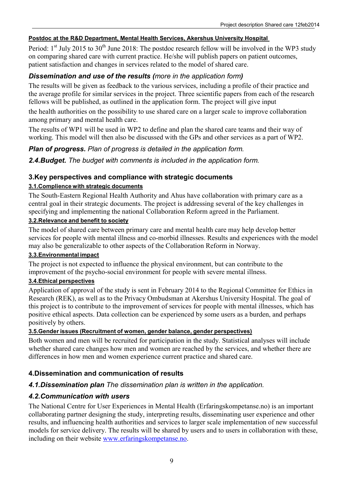### **Postdoc at the R&D Department, Mental Health Services, Akershus University Hospital**

Period:  $1<sup>st</sup>$  July 2015 to 30<sup>th</sup> June 2018: The postdoc research fellow will be involved in the WP3 study on comparing shared care with current practice. He/she will publish papers on patient outcomes, patient satisfaction and changes in services related to the model of shared care.

# *Dissemination and use of the results (more in the application form)*

The results will be given as feedback to the various services, including a profile of their practice and the average profile for similar services in the project. Three scientific papers from each of the research fellows will be published, as outlined in the application form. The project will give input

the health authorities on the possibility to use shared care on a larger scale to improve collaboration among primary and mental health care.

The results of WP1 will be used in WP2 to define and plan the shared care teams and their way of working. This model will then also be discussed with the GPs and other services as a part of WP2.

*Plan of progress. Plan of progress is detailed in the application form.*

*2.4.Budget. The budget with comments is included in the application form.*

# **3.Key perspectives and compliance with strategic documents**

### **3.1.Complience with strategic documents**

The South-Eastern Regional Health Authority and Ahus have collaboration with primary care as a central goal in their strategic documents. The project is addressing several of the key challenges in specifying and implementing the national Collaboration Reform agreed in the Parliament.

### **3.2.Relevance and benefit to society**

The model of shared care between primary care and mental health care may help develop better services for people with mental illness and co-morbid illnesses. Results and experiences with the model may also be generalizable to other aspects of the Collaboration Reform in Norway.

### **3.3.Environmental impact**

The project is not expected to influence the physical environment, but can contribute to the improvement of the psycho-social environment for people with severe mental illness.

### **3.4.Ethical perspectives**

Application of approval of the study is sent in February 2014 to the Regional Committee for Ethics in Research (REK), as well as to the Privacy Ombudsman at Akershus University Hospital. The goal of this project is to contribute to the improvement of services for people with mental illnesses, which has positive ethical aspects. Data collection can be experienced by some users as a burden, and perhaps positively by others.

### **3.5.Gender issues (Recruitment of women, gender balance, gender perspectives)**

Both women and men will be recruited for participation in the study. Statistical analyses will include whether shared care changes how men and women are reached by the services, and whether there are differences in how men and women experience current practice and shared care.

# **4.Dissemination and communication of results**

# *4.1.Dissemination plan The dissemination plan is written in the application.*

### *4.2.Communication with users*

The National Centre for User Experiences in Mental Health (Erfaringskompetanse.no) is an important collaborating partner designing the study, interpreting results, disseminating user experience and other results, and influencing health authorities and services to larger scale implementation of new successful models for service delivery. The results will be shared by users and to users in collaboration with these, including on their website www.erfaringskompetanse.no.